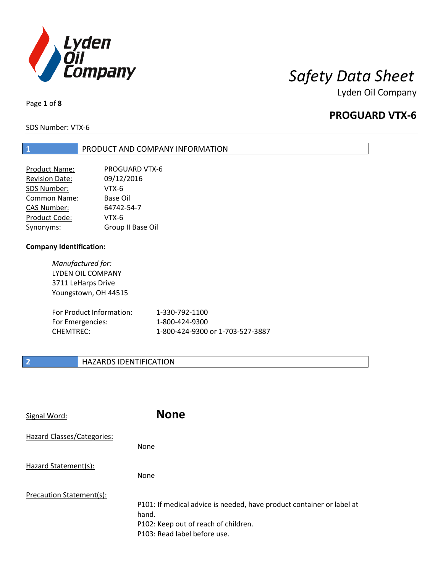

Page **1** of **8**

# **PROGUARD VTX-6**

SDS Number: VTX-6

### **1** PRODUCT AND COMPANY INFORMATION

| Product Name:         | <b>PROGUARD VTX-6</b> |
|-----------------------|-----------------------|
| <b>Revision Date:</b> | 09/12/2016            |
| SDS Number:           | VTX-6                 |
| Common Name:          | Base Oil              |
| <b>CAS Number:</b>    | 64742-54-7            |
| Product Code:         | VTX-6                 |
| Synonyms:             | Group II Base Oil     |

### **Company Identification:**

*Manufactured for:* LYDEN OIL COMPANY 3711 LeHarps Drive Youngstown, OH 44515

| For Product Information: | 1-330-792-1100                   |
|--------------------------|----------------------------------|
| For Emergencies:         | 1-800-424-9300                   |
| CHEMTREC:                | 1-800-424-9300 or 1-703-527-3887 |

### **2 HAZARDS IDENTIFICATION**

| Signal Word:                      | <b>None</b>                                                                                                                                            |
|-----------------------------------|--------------------------------------------------------------------------------------------------------------------------------------------------------|
| <b>Hazard Classes/Categories:</b> | None                                                                                                                                                   |
| Hazard Statement(s):              | <b>None</b>                                                                                                                                            |
| Precaution Statement(s):          | P101: If medical advice is needed, have product container or label at<br>hand.<br>P102: Keep out of reach of children.<br>P103: Read label before use. |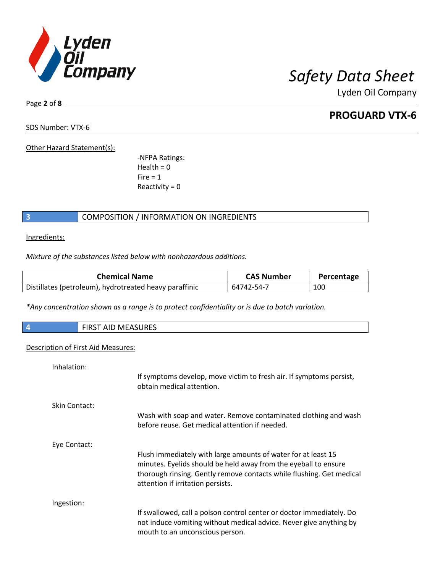

Page **2** of **8**

# **PROGUARD VTX-6**

SDS Number: VTX-6

Other Hazard Statement(s):

-NFPA Ratings:  $Health = 0$  $Fire = 1$ Reactivity  $= 0$ 

### **3** COMPOSITION / INFORMATION ON INGREDIENTS

Ingredients:

*Mixture of the substances listed below with nonhazardous additions.*

| <b>Chemical Name</b>                                   | <b>CAS Number</b> | Percentage |
|--------------------------------------------------------|-------------------|------------|
| Distillates (petroleum), hydrotreated heavy paraffinic | 64742-54-7        | 100        |

*\*Any concentration shown as a range is to protect confidentiality or is due to batch variation.*

| <b>IVILAJUNEJ</b><br>כחו־<br><b>AIL</b> | <b><i>AEACHDEC</i></b><br>FIRCF |  |
|-----------------------------------------|---------------------------------|--|
|-----------------------------------------|---------------------------------|--|

### Description of First Aid Measures:

| Inhalation:          | If symptoms develop, move victim to fresh air. If symptoms persist,<br>obtain medical attention.                                                                                                                                              |
|----------------------|-----------------------------------------------------------------------------------------------------------------------------------------------------------------------------------------------------------------------------------------------|
| <b>Skin Contact:</b> | Wash with soap and water. Remove contaminated clothing and wash<br>before reuse. Get medical attention if needed.                                                                                                                             |
| Eye Contact:         | Flush immediately with large amounts of water for at least 15<br>minutes. Eyelids should be held away from the eyeball to ensure<br>thorough rinsing. Gently remove contacts while flushing. Get medical<br>attention if irritation persists. |
| Ingestion:           | If swallowed, call a poison control center or doctor immediately. Do<br>not induce vomiting without medical advice. Never give anything by<br>mouth to an unconscious person.                                                                 |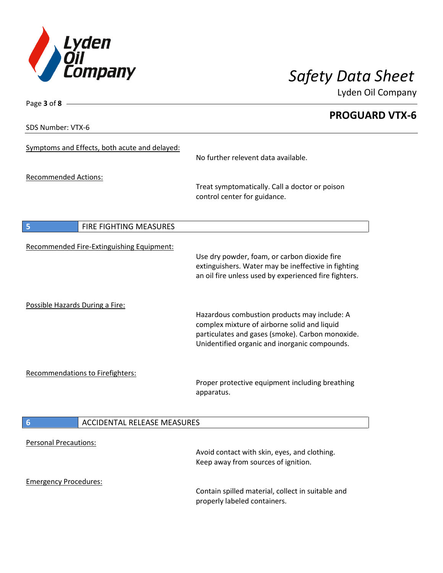

Page **3** of **8**

Lyden Oil Company

**PROGUARD VTX-6** SDS Number: VTX-6 Symptoms and Effects, both acute and delayed: No further relevent data available. Recommended Actions: Treat symptomatically. Call a doctor or poison control center for guidance. **5** FIRE FIGHTING MEASURES Recommended Fire-Extinguishing Equipment: Use dry powder, foam, or carbon dioxide fire extinguishers. Water may be ineffective in fighting an oil fire unless used by experienced fire fighters. Possible Hazards During a Fire: Hazardous combustion products may include: A complex mixture of airborne solid and liquid particulates and gases (smoke). Carbon monoxide. Unidentified organic and inorganic compounds. Recommendations to Firefighters: Proper protective equipment including breathing apparatus. **6** ACCIDENTAL RELEASE MEASURES Personal Precautions: Avoid contact with skin, eyes, and clothing. Keep away from sources of ignition. Emergency Procedures: Contain spilled material, collect in suitable and

properly labeled containers.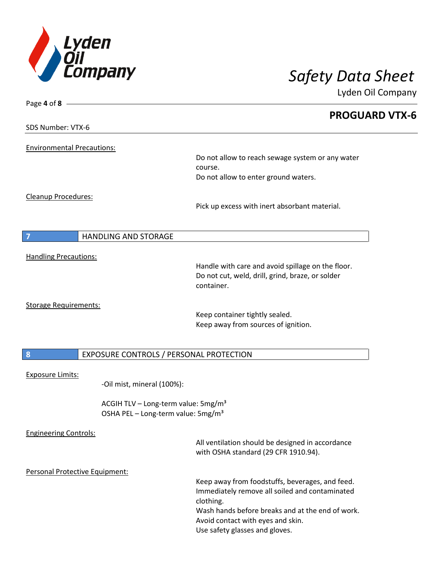

| Page 4 of 8 -                                               |                                                                     |                       |
|-------------------------------------------------------------|---------------------------------------------------------------------|-----------------------|
|                                                             |                                                                     | <b>PROGUARD VTX-6</b> |
| SDS Number: VTX-6                                           |                                                                     |                       |
|                                                             |                                                                     |                       |
| <b>Environmental Precautions:</b>                           | Do not allow to reach sewage system or any water                    |                       |
|                                                             | course.                                                             |                       |
|                                                             | Do not allow to enter ground waters.                                |                       |
| Cleanup Procedures:                                         |                                                                     |                       |
|                                                             | Pick up excess with inert absorbant material.                       |                       |
|                                                             |                                                                     |                       |
| <b>HANDLING AND STORAGE</b><br>$\overline{7}$               |                                                                     |                       |
|                                                             |                                                                     |                       |
| <b>Handling Precautions:</b>                                |                                                                     |                       |
|                                                             | Handle with care and avoid spillage on the floor.                   |                       |
|                                                             | Do not cut, weld, drill, grind, braze, or solder<br>container.      |                       |
|                                                             |                                                                     |                       |
| <b>Storage Requirements:</b>                                |                                                                     |                       |
|                                                             | Keep container tightly sealed.                                      |                       |
|                                                             | Keep away from sources of ignition.                                 |                       |
|                                                             |                                                                     |                       |
| $\boldsymbol{8}$<br>EXPOSURE CONTROLS / PERSONAL PROTECTION |                                                                     |                       |
|                                                             |                                                                     |                       |
| <b>Exposure Limits:</b><br>-Oil mist, mineral (100%):       |                                                                     |                       |
|                                                             |                                                                     |                       |
| ACGIH TLV - Long-term value: 5mg/m <sup>3</sup>             |                                                                     |                       |
| OSHA PEL - Long-term value: 5mg/m <sup>3</sup>              |                                                                     |                       |
| <b>Engineering Controls:</b>                                |                                                                     |                       |
|                                                             | All ventilation should be designed in accordance                    |                       |
|                                                             | with OSHA standard (29 CFR 1910.94).                                |                       |
| Personal Protective Equipment:                              |                                                                     |                       |
|                                                             | Keep away from foodstuffs, beverages, and feed.                     |                       |
|                                                             | Immediately remove all soiled and contaminated                      |                       |
|                                                             | clothing.                                                           |                       |
|                                                             | Wash hands before breaks and at the end of work.                    |                       |
|                                                             | Avoid contact with eyes and skin.<br>Use safety glasses and gloves. |                       |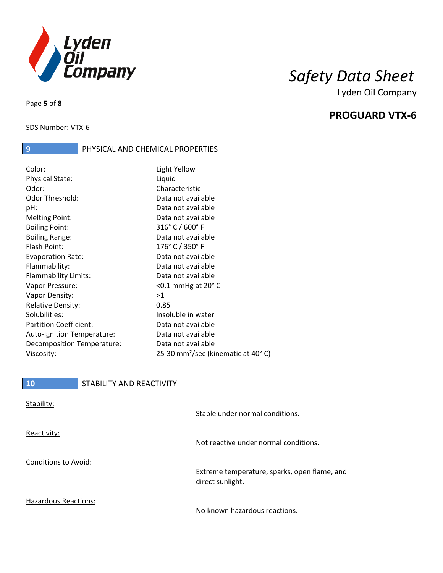

SDS Number: VTX-6

Page **5** of **8**

## **PROGUARD VTX-6**

**9** PHYSICAL AND CHEMICAL PROPERTIES

| Color:                        | Light Yellow                                   |
|-------------------------------|------------------------------------------------|
| <b>Physical State:</b>        | Liquid                                         |
| Odor:                         | Characteristic                                 |
| Odor Threshold:               | Data not available                             |
| pH:                           | Data not available                             |
| <b>Melting Point:</b>         | Data not available                             |
| <b>Boiling Point:</b>         | $316°$ C / 600 $°$ F                           |
| <b>Boiling Range:</b>         | Data not available                             |
| Flash Point:                  | 176° C / 350° F                                |
| <b>Evaporation Rate:</b>      | Data not available                             |
| Flammability:                 | Data not available                             |
| <b>Flammability Limits:</b>   | Data not available                             |
| Vapor Pressure:               | $<$ 0.1 mmHg at 20 $^{\circ}$ C                |
| Vapor Density:                | >1                                             |
| <b>Relative Density:</b>      | 0.85                                           |
| Solubilities:                 | Insoluble in water                             |
| <b>Partition Coefficient:</b> | Data not available                             |
| Auto-Ignition Temperature:    | Data not available                             |
| Decomposition Temperature:    | Data not available                             |
| Viscosity:                    | 25-30 mm <sup>2</sup> /sec (kinematic at 40°C) |
|                               |                                                |

| Stability:           | Stable under normal conditions.                                  |
|----------------------|------------------------------------------------------------------|
| Reactivity:          | Not reactive under normal conditions.                            |
| Conditions to Avoid: | Extreme temperature, sparks, open flame, and<br>direct sunlight. |
| Hazardous Reactions: | No known hazardous reactions.                                    |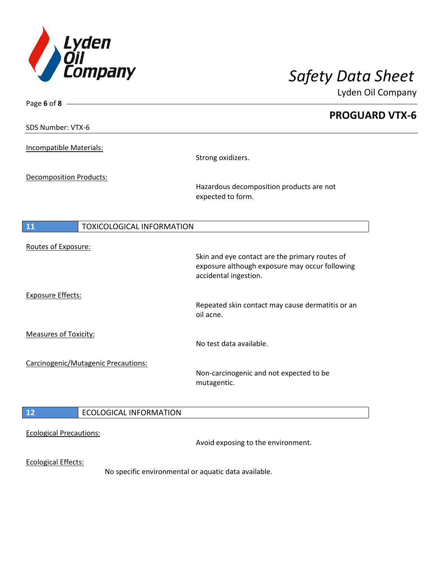

| Page 6 of 8 $-$                        |                                                                                                                           |
|----------------------------------------|---------------------------------------------------------------------------------------------------------------------------|
| SDS Number: VTX-6                      | <b>PROGUARD VTX-6</b>                                                                                                     |
|                                        |                                                                                                                           |
| <b>Incompatible Materials:</b>         | Strong oxidizers.                                                                                                         |
| <b>Decomposition Products:</b>         |                                                                                                                           |
|                                        | Hazardous decomposition products are not<br>expected to form.                                                             |
| 11<br><b>TOXICOLOGICAL INFORMATION</b> |                                                                                                                           |
| Routes of Exposure:                    |                                                                                                                           |
|                                        | Skin and eye contact are the primary routes of<br>exposure although exposure may occur following<br>accidental ingestion. |
| <b>Exposure Effects:</b>               | Repeated skin contact may cause dermatitis or an<br>oil acne.                                                             |
| <b>Measures of Toxicity:</b>           |                                                                                                                           |
|                                        | No test data available.                                                                                                   |
| Carcinogenic/Mutagenic Precautions:    | Non-carcinogenic and not expected to be<br>mutagentic.                                                                    |
|                                        |                                                                                                                           |
| $12$<br><b>ECOLOGICAL INFORMATION</b>  |                                                                                                                           |
| <b>Ecological Precautions:</b>         | Avoid exposing to the environment.                                                                                        |
| <b>Ecological Effects:</b>             | No specific environmental or aquatic data available.                                                                      |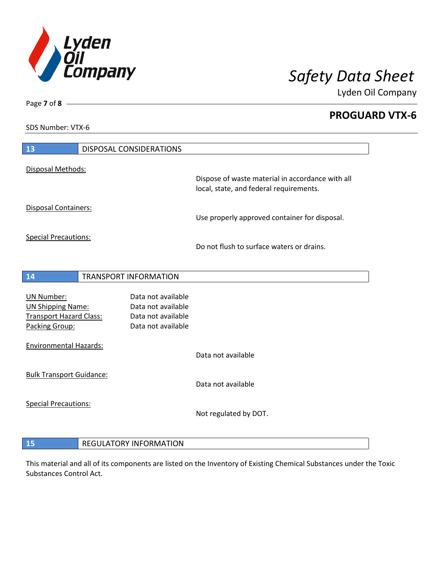

**PROGUARD VTX-6**

SDS Number: VTX-6

Page **7** of **8**

| 13                              | <b>DISPOSAL CONSIDERATIONS</b> |                                                                                             |
|---------------------------------|--------------------------------|---------------------------------------------------------------------------------------------|
| Disposal Methods:               |                                |                                                                                             |
|                                 |                                | Dispose of waste material in accordance with all<br>local, state, and federal requirements. |
| Disposal Containers:            |                                | Use properly approved container for disposal.                                               |
| <b>Special Precautions:</b>     |                                | Do not flush to surface waters or drains.                                                   |
| 14                              | <b>TRANSPORT INFORMATION</b>   |                                                                                             |
|                                 |                                |                                                                                             |
| <b>UN Number:</b>               | Data not available             |                                                                                             |
| <b>UN Shipping Name:</b>        | Data not available             |                                                                                             |
| <b>Transport Hazard Class:</b>  | Data not available             |                                                                                             |
| Packing Group:                  | Data not available             |                                                                                             |
| <b>Environmental Hazards:</b>   |                                |                                                                                             |
|                                 |                                | Data not available                                                                          |
| <b>Bulk Transport Guidance:</b> |                                |                                                                                             |
|                                 |                                | Data not available                                                                          |
| <b>Special Precautions:</b>     |                                |                                                                                             |
|                                 |                                | Not regulated by DOT.                                                                       |
| 15                              | <b>REGULATORY INFORMATION</b>  |                                                                                             |

This material and all of its components are listed on the Inventory of Existing Chemical Substances under the Toxic Substances Control Act.